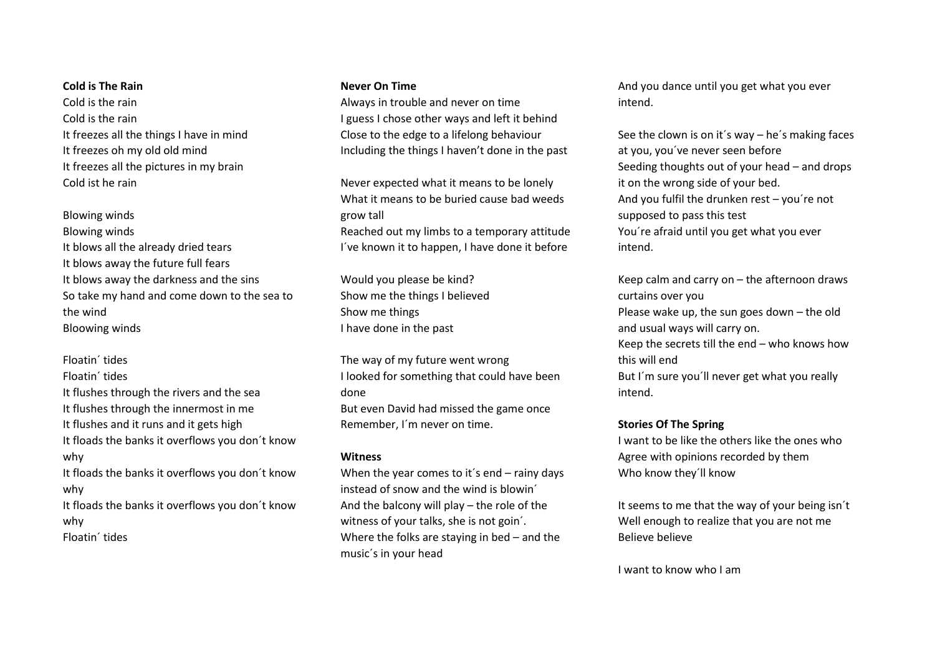### **Cold is The Rain**

Cold is the rain Cold is the rain It freezes all the things I have in mind It freezes oh my old old mind It freezes all the pictures in my brain Cold ist he rain

# Blowing winds

Blowing winds It blows all the already dried tears It blows away the future full fears It blows away the darkness and the sins So take my hand and come down to the sea to the wind Bloowing winds

Floatin´ tides Floatin´ tides It flushes through the rivers and the sea It flushes through the innermost in me It flushes and it runs and it gets high It floads the banks it overflows you don´t know why It floads the banks it overflows you don´t know why It floads the banks it overflows you don´t know why

Floatin´ tides

## **Never On Time**

Always in trouble and never on time I guess I chose other ways and left it behind Close to the edge to a lifelong behaviour Including the things I haven't done in the past

Never expected what it means to be lonely What it means to be buried cause bad weeds grow tall Reached out my limbs to a temporary attitude I´ve known it to happen, I have done it before

Would you please be kind? Show me the things I believed Show me things I have done in the past

The way of my future went wrong I looked for something that could have been done But even David had missed the game once Remember, I´m never on time.

### **Witness**

When the year comes to it's end – rainy days instead of snow and the wind is blowin´ And the balcony will play – the role of the witness of your talks, she is not goin´. Where the folks are staying in bed – and the music´s in your head

And you dance until you get what you ever intend.

See the clown is on it´s way – he´s making faces at you, you´ve never seen before Seeding thoughts out of your head – and drops it on the wrong side of your bed. And you fulfil the drunken rest – you´re not supposed to pass this test You´re afraid until you get what you ever intend.

Keep calm and carry on – the afternoon draws curtains over you Please wake up, the sun goes down – the old and usual ways will carry on. Keep the secrets till the end – who knows how this will end But I´m sure you´ll never get what you really intend.

## **Stories Of The Spring**

I want to be like the others like the ones who Agree with opinions recorded by them Who know they´ll know

It seems to me that the way of your being isn´t Well enough to realize that you are not me Believe believe

I want to know who I am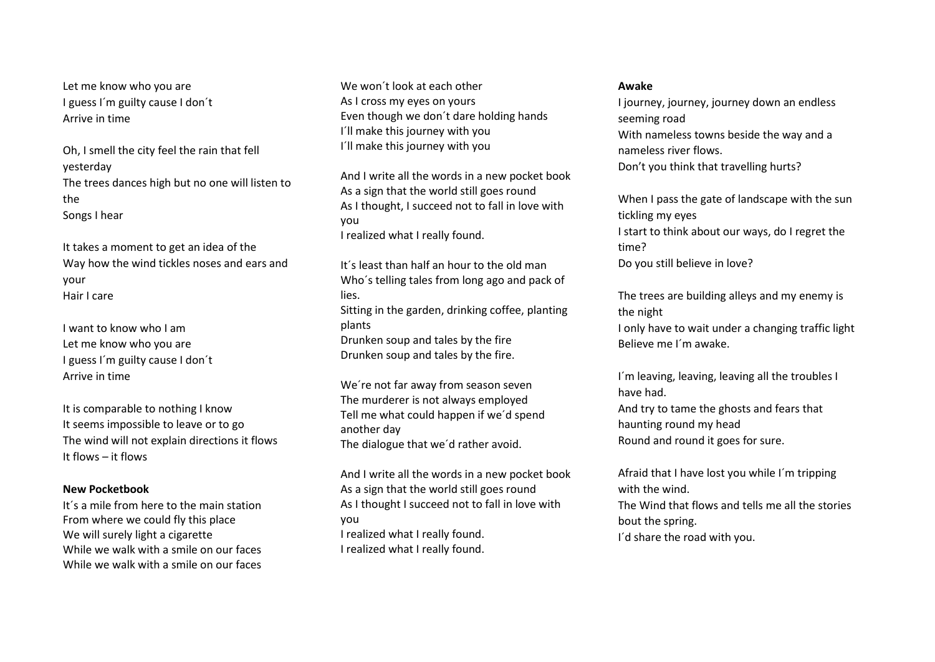Let me know who you are I guess I´m guilty cause I don´t Arrive in time

Oh, I smell the city feel the rain that fell yesterday The trees dances high but no one will listen to the Songs I hear

It takes a moment to get an idea of the Way how the wind tickles noses and ears and your Hair I care

I want to know who I am Let me know who you are I guess I´m guilty cause I don´t Arrive in time

It is comparable to nothing I know It seems impossible to leave or to go The wind will not explain directions it flows It flows – it flows

### **New Pocketbook**

It´s a mile from here to the main station From where we could fly this place We will surely light a cigarette While we walk with a smile on our faces While we walk with a smile on our faces

We won´t look at each other As I cross my eyes on yours Even though we don´t dare holding hands I´ll make this journey with you I´ll make this journey with you

And I write all the words in a new pocket book As a sign that the world still goes round As I thought, I succeed not to fall in love with you

I realized what I really found.

It´s least than half an hour to the old man Who´s telling tales from long ago and pack of lies. Sitting in the garden, drinking coffee, planting plants Drunken soup and tales by the fire Drunken soup and tales by the fire.

We´re not far away from season seven The murderer is not always employed Tell me what could happen if we´d spend another day The dialogue that we´d rather avoid.

And I write all the words in a new pocket book As a sign that the world still goes round As I thought I succeed not to fall in love with you I realized what I really found. I realized what I really found.

#### **Awake**

I journey, journey, journey down an endless seeming road With nameless towns beside the way and a nameless river flows. Don't you think that travelling hurts?

When I pass the gate of landscape with the sun tickling my eyes I start to think about our ways, do I regret the time?

Do you still believe in love?

The trees are building alleys and my enemy is the night

I only have to wait under a changing traffic light Believe me I´m awake.

I´m leaving, leaving, leaving all the troubles I have had.

And try to tame the ghosts and fears that haunting round my head Round and round it goes for sure.

Afraid that I have lost you while I´m tripping with the wind. The Wind that flows and tells me all the stories bout the spring. I´d share the road with you.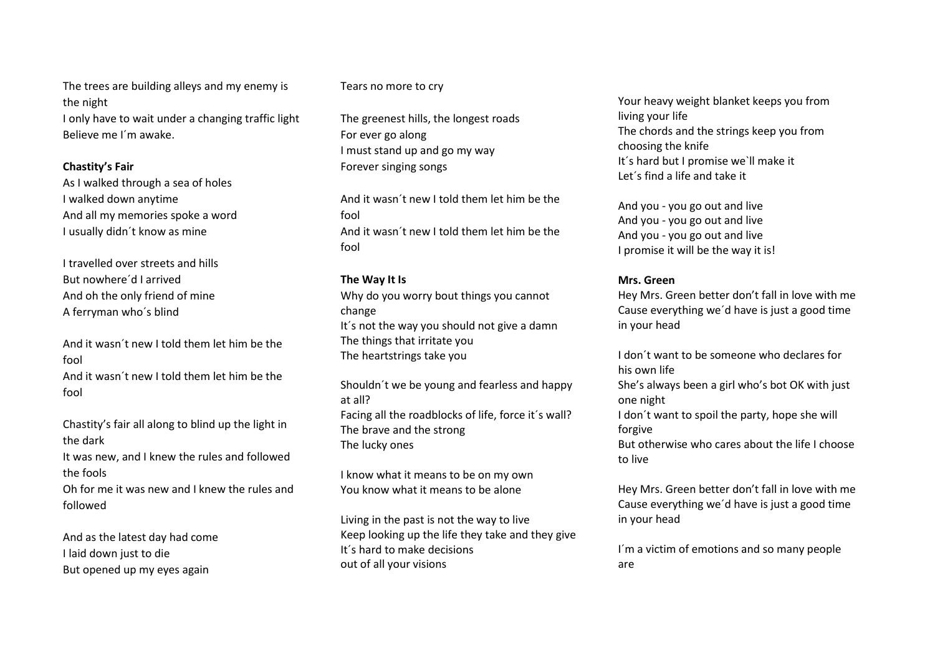The trees are building alleys and my enemy is the night I only have to wait under a changing traffic light Believe me I´m awake.

### **Chastity's Fair**

As I walked through a sea of holes I walked down anytime And all my memories spoke a word I usually didn´t know as mine

I travelled over streets and hills But nowhere´d I arrived And oh the only friend of mine A ferryman who´s blind

And it wasn´t new I told them let him be the fool And it wasn´t new I told them let him be the fool

Chastity's fair all along to blind up the light in the dark

It was new, and I knew the rules and followed the fools

Oh for me it was new and I knew the rules and followed

And as the latest day had come I laid down just to die But opened up my eyes again

### Tears no more to cry

The greenest hills, the longest roads For ever go along I must stand up and go my way Forever singing songs

And it wasn´t new I told them let him be the fool And it wasn´t new I told them let him be the fool

#### **The Way It Is**

Why do you worry bout things you cannot change It´s not the way you should not give a damn The things that irritate you The heartstrings take you

Shouldn´t we be young and fearless and happy at all? Facing all the roadblocks of life, force it´s wall? The brave and the strong The lucky ones

I know what it means to be on my own You know what it means to be alone

Living in the past is not the way to live Keep looking up the life they take and they give It´s hard to make decisions out of all your visions

Your heavy weight blanket keeps you from living your life The chords and the strings keep you from choosing the knife It´s hard but I promise we`ll make it Let´s find a life and take it

And you - you go out and live And you - you go out and live And you - you go out and live I promise it will be the way it is!

#### **Mrs. Green**

Hey Mrs. Green better don't fall in love with me Cause everything we´d have is just a good time in your head

I don´t want to be someone who declares for his own life She's always been a girl who's bot OK with just one night I don´t want to spoil the party, hope she will forgive But otherwise who cares about the life I choose to live

Hey Mrs. Green better don't fall in love with me Cause everything we´d have is just a good time in your head

I'm a victim of emotions and so many people are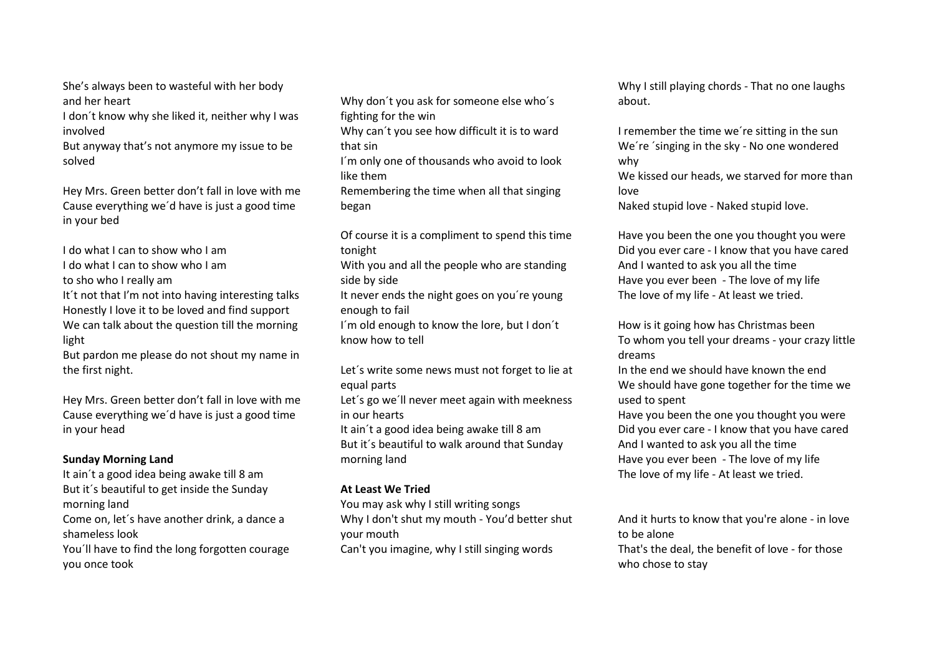She's always been to wasteful with her body and her heart

I don´t know why she liked it, neither why I was involved

But anyway that's not anymore my issue to be solved

Hey Mrs. Green better don't fall in love with me Cause everything we´d have is just a good time in your bed

I do what I can to show who I am I do what I can to show who I am to sho who I really am It't not that I'm not into having interesting talks Honestly I love it to be loved and find support We can talk about the question till the morning light

But pardon me please do not shout my name in the first night.

Hey Mrs. Green better don't fall in love with me Cause everything we´d have is just a good time in your head

# **Sunday Morning Land**

It ain´t a good idea being awake till 8 am But it´s beautiful to get inside the Sunday morning land Come on, let´s have another drink, a dance a

shameless look

You´ll have to find the long forgotten courage you once took

Why don´t you ask for someone else who´s fighting for the win

Why can´t you see how difficult it is to ward that sin

I´m only one of thousands who avoid to look like them

Remembering the time when all that singing began

Of course it is a compliment to spend this time tonight

With you and all the people who are standing side by side

It never ends the night goes on you´re young enough to fail

I´m old enough to know the lore, but I don´t know how to tell

Let´s write some news must not forget to lie at equal parts

Let´s go we´ll never meet again with meekness in our hearts

It ain´t a good idea being awake till 8 am But it´s beautiful to walk around that Sunday morning land

# **At Least We Tried**

You may ask why I still writing songs Why I don't shut my mouth - You'd better shut your mouth

Can't you imagine, why I still singing words

Why I still playing chords - That no one laughs about.

I remember the time we´re sitting in the sun We´re ´singing in the sky - No one wondered why We kissed our heads, we starved for more than love

Naked stupid love - Naked stupid love.

Have you been the one you thought you were Did you ever care - I know that you have cared And I wanted to ask you all the time Have you ever been - The love of my life The love of my life - At least we tried.

How is it going how has Christmas been To whom you tell your dreams - your crazy little dreams

In the end we should have known the end We should have gone together for the time we used to spent

Have you been the one you thought you were Did you ever care - I know that you have cared And I wanted to ask you all the time Have you ever been - The love of my life The love of my life - At least we tried.

And it hurts to know that you're alone - in love to be alone That's the deal, the benefit of love - for those who chose to stay